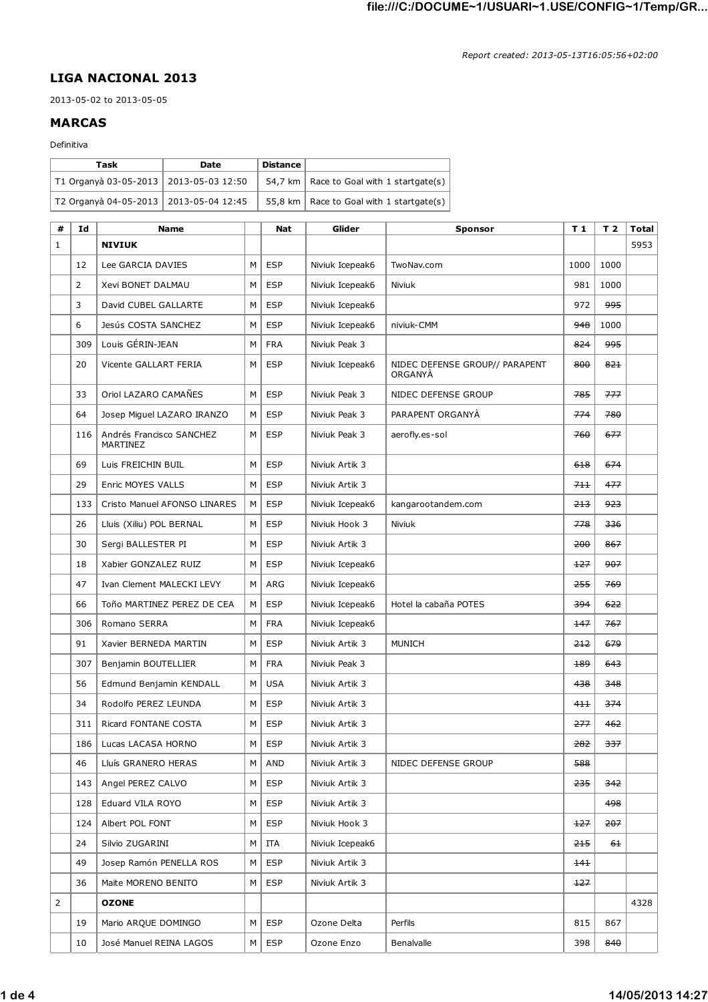## **LIGA NACIONAL 2013**

2013-05-02 to 2013-05-05

## **MARCAS**

## Definitiva

| Task                                     | <b>Date</b> | Distance |                                                    |
|------------------------------------------|-------------|----------|----------------------------------------------------|
| T1 Organyà 03-05-2013   2013-05-03 12:50 |             |          | 54,7 km   Race to Goal with 1 startgate(s) $\vert$ |
| T2 Organyà 04-05-2013   2013-05-04 12:45 |             |          | 55,8 km   Race to Goal with 1 startgate(s)         |

| #              | Id  | <b>Name</b>                          |   | <b>Nat</b> | Glider          | <b>Sponsor</b>                            | T <sub>1</sub> | T <sub>2</sub> | Total |
|----------------|-----|--------------------------------------|---|------------|-----------------|-------------------------------------------|----------------|----------------|-------|
| 1              |     | <b>NIVIUK</b>                        |   |            |                 |                                           |                |                | 5953  |
|                | 12  | Lee GARCIA DAVIES                    | м | <b>ESP</b> | Niviuk Icepeak6 | TwoNav.com                                | 1000           | 1000           |       |
|                | 2   | Xevi BONET DALMAU                    | М | <b>ESP</b> | Niviuk Icepeak6 | Niviuk                                    | 981            | 1000           |       |
|                | 3   | David CUBEL GALLARTE                 | M | <b>ESP</b> | Niviuk Icepeak6 |                                           | 972            | 995            |       |
|                | 6   | Jesús COSTA SANCHEZ                  | М | <b>ESP</b> | Niviuk Icepeak6 | niviuk-CMM                                | 948            | 1000           |       |
|                | 309 | Louis GÉRIN-JEAN                     | М | <b>FRA</b> | Niviuk Peak 3   |                                           | 824            | 995            |       |
|                | 20  | Vicente GALLART FERIA                | M | <b>ESP</b> | Niviuk Icepeak6 | NIDEC DEFENSE GROUP// PARAPENT<br>ORGANYA | 800            | 821            |       |
|                | 33  | Oriol LAZARO CAMAÑES                 | М | <b>ESP</b> | Niviuk Peak 3   | NIDEC DEFENSE GROUP                       | 785            | 777            |       |
|                | 64  | Josep Miguel LAZARO IRANZO           | м | <b>ESP</b> | Niviuk Peak 3   | PARAPENT ORGANYA                          | 774            | 780            |       |
|                | 116 | Andrés Francisco SANCHEZ<br>MARTINEZ | М | <b>ESP</b> | Niviuk Peak 3   | aerofly.es-sol                            | 760            | 677            |       |
|                | 69  | Luis FREICHIN BUIL                   | м | <b>ESP</b> | Niviuk Artik 3  |                                           | 618            | 674            |       |
|                | 29  | Enric MOYES VALLS                    | M | <b>ESP</b> | Niviuk Artik 3  |                                           | 711            | 477            |       |
|                | 133 | Cristo Manuel AFONSO LINARES         | м | <b>ESP</b> | Niviuk Icepeak6 | kangarootandem.com                        | 213            | 923            |       |
|                | 26  | Lluis (Xiliu) POL BERNAL             | М | <b>ESP</b> | Niviuk Hook 3   | Niviuk                                    | 778            | 336            |       |
|                | 30  | Sergi BALLESTER PI                   | м | <b>ESP</b> | Niviuk Artik 3  |                                           | 200            | 867            |       |
|                | 18  | Xabier GONZALEZ RUIZ                 | M | <b>ESP</b> | Niviuk Icepeak6 |                                           | 127            | 907            |       |
|                | 47  | Ivan Clement MALECKI LEVY            | м | ARG        | Niviuk Icepeak6 |                                           | 255            | 769            |       |
|                | 66  | Toño MARTINEZ PEREZ DE CEA           | M | <b>ESP</b> | Niviuk Icepeak6 | Hotel la cabaña POTES                     | 394            | 622            |       |
|                | 306 | Romano SERRA                         | м | <b>FRA</b> | Niviuk Icepeak6 |                                           | 147            | 767            |       |
|                | 91  | Xavier BERNEDA MARTIN                | м | <b>ESP</b> | Niviuk Artik 3  | <b>MUNICH</b>                             | 212            | 679            |       |
|                | 307 | Benjamin BOUTELLIER                  | м | <b>FRA</b> | Niviuk Peak 3   |                                           | 189            | 643            |       |
|                | 56  | Edmund Benjamin KENDALL              | м | <b>USA</b> | Niviuk Artik 3  |                                           | 438            | 348            |       |
|                | 34  | Rodolfo PEREZ LEUNDA                 | M | <b>ESP</b> | Niviuk Artik 3  |                                           | 411            | 374            |       |
|                | 311 | Ricard FONTANE COSTA                 | м | <b>ESP</b> | Niviuk Artik 3  |                                           | 277            | 462            |       |
|                | 186 | Lucas LACASA HORNO                   | м | <b>ESP</b> | Niviuk Artik 3  |                                           | 282            | 337            |       |
|                | 46  | Lluís GRANERO HERAS                  | м | AND        | Niviuk Artik 3  | NIDEC DEFENSE GROUP                       | 588            |                |       |
|                | 143 | Angel PEREZ CALVO                    | М | <b>ESP</b> | Niviuk Artik 3  |                                           | 235            | 342            |       |
|                | 128 | Eduard VILA ROYO                     | М | <b>ESP</b> | Niviuk Artik 3  |                                           |                | 498            |       |
|                | 124 | Albert POL FONT                      | м | <b>ESP</b> | Niviuk Hook 3   |                                           | 127            | 207            |       |
|                | 24  | Silvio ZUGARINI                      | М | ITA        | Niviuk Icepeak6 |                                           | 215            | <del>61</del>  |       |
|                | 49  | Josep Ramón PENELLA ROS              | М | <b>ESP</b> | Niviuk Artik 3  |                                           | <del>141</del> |                |       |
|                | 36  | Maite MORENO BENITO                  | м | <b>ESP</b> | Niviuk Artik 3  |                                           | $+27$          |                |       |
| $\overline{2}$ |     | <b>OZONE</b>                         |   |            |                 |                                           |                |                | 4328  |
|                | 19  | Mario ARQUE DOMINGO                  | М | <b>ESP</b> | Ozone Delta     | Perfils                                   | 815            | 867            |       |
|                | 10  | José Manuel REINA LAGOS              | М | <b>ESP</b> | Ozone Enzo      | Benalvalle                                | 398            | 840            |       |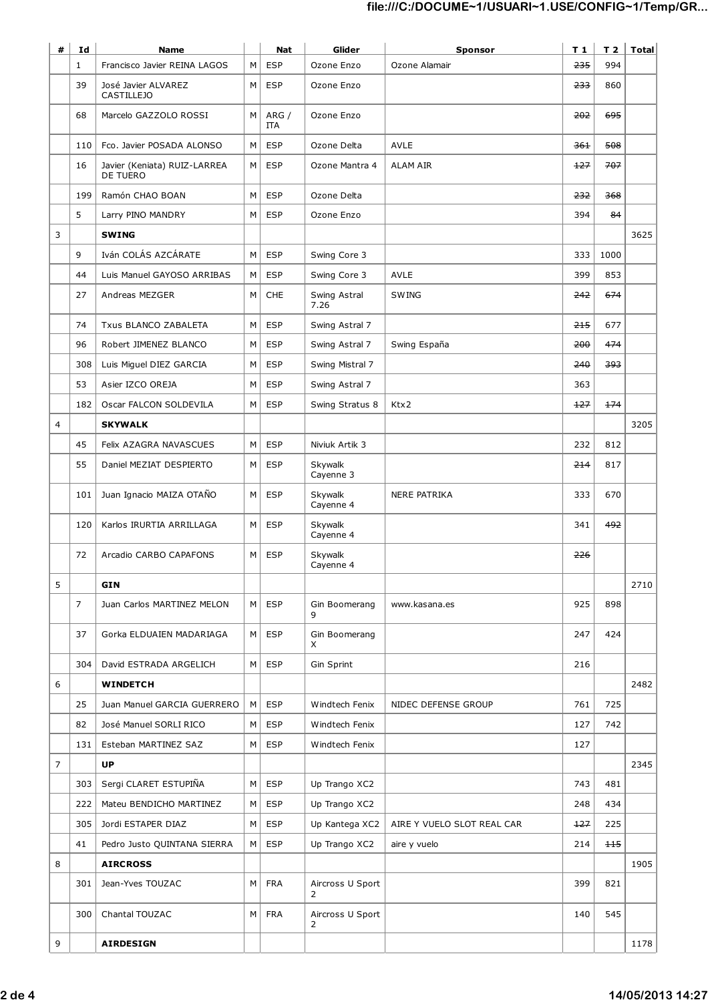| # | Id             | <b>Name</b>                                     |   | Nat          | Glider                | Sponsor                    | T <sub>1</sub> |       | $T$ 2   Total |
|---|----------------|-------------------------------------------------|---|--------------|-----------------------|----------------------------|----------------|-------|---------------|
|   | $\mathbf{1}$   | Francisco Javier REINA LAGOS                    | M | <b>ESP</b>   | Ozone Enzo            | Ozone Alamair              | 235            | 994   |               |
|   | 39             | José Javier ALVAREZ<br><b>CASTILLEJO</b>        | M | <b>ESP</b>   | Ozone Enzo            |                            | 233            | 860   |               |
|   | 68             | Marcelo GAZZOLO ROSSI                           | M | ARG /<br>IΤΑ | Ozone Enzo            |                            | 202            | 695   |               |
|   | 110            | Fco. Javier POSADA ALONSO                       | M | <b>ESP</b>   | Ozone Delta           | <b>AVLE</b>                | 361            | 508   |               |
|   | 16             | Javier (Keniata) RUIZ-LARREA<br><b>DE TUERO</b> | M | <b>ESP</b>   | Ozone Mantra 4        | <b>ALAM AIR</b>            | 127            | 707   |               |
|   | 199            | Ramón CHAO BOAN                                 | M | <b>ESP</b>   | Ozone Delta           |                            | 232            | 368   |               |
|   | 5              | Larry PINO MANDRY                               | M | <b>ESP</b>   | Ozone Enzo            |                            | 394            | 84    |               |
| 3 |                | <b>SWING</b>                                    |   |              |                       |                            |                |       | 3625          |
|   | 9              | Iván COLÁS AZCÁRATE                             | M | <b>ESP</b>   | Swing Core 3          |                            | 333            | 1000  |               |
|   | 44             | Luis Manuel GAYOSO ARRIBAS                      | M | <b>ESP</b>   | Swing Core 3          | <b>AVLE</b>                | 399            | 853   |               |
|   | 27             | Andreas MEZGER                                  | M | CHE          | Swing Astral<br>7.26  | <b>SWING</b>               | 242            | 674   |               |
|   | 74             | <b>Txus BLANCO ZABALETA</b>                     | M | <b>ESP</b>   | Swing Astral 7        |                            | 215            | 677   |               |
|   | 96             | Robert JIMENEZ BLANCO                           | М | <b>ESP</b>   | Swing Astral 7        | Swing España               | 200            | 474   |               |
|   | 308            | Luis Miguel DIEZ GARCIA                         | M | <b>ESP</b>   | Swing Mistral 7       |                            | 240            | 393   |               |
|   | 53             | Asier IZCO OREJA                                | М | <b>ESP</b>   | Swing Astral 7        |                            | 363            |       |               |
|   | 182            | Oscar FALCON SOLDEVILA                          | М | <b>ESP</b>   | Swing Stratus 8       | Ktx2                       | 127            | 174   |               |
| 4 |                | <b>SKYWALK</b>                                  |   |              |                       |                            |                |       | 3205          |
|   | 45             | Felix AZAGRA NAVASCUES                          | М | <b>ESP</b>   | Niviuk Artik 3        |                            | 232            | 812   |               |
|   | 55             | Daniel MEZIAT DESPIERTO                         | M | <b>ESP</b>   | Skywalk<br>Cayenne 3  |                            | 214            | 817   |               |
|   | 101            | Juan Ignacio MAIZA OTAÑO                        | M | <b>ESP</b>   | Skywalk<br>Cayenne 4  | <b>NERE PATRIKA</b>        | 333            | 670   |               |
|   | 120            | Karlos IRURTIA ARRILLAGA                        | M | <b>ESP</b>   | Skywalk<br>Cayenne 4  |                            | 341            | 492   |               |
|   | 72             | Arcadio CARBO CAPAFONS                          | М | <b>ESP</b>   | Skywalk<br>Cayenne 4  |                            | 226            |       |               |
| 5 |                | <b>GIN</b>                                      |   |              |                       |                            |                |       | 2710          |
|   | $\overline{7}$ | Juan Carlos MARTINEZ MELON                      | М | <b>ESP</b>   | Gin Boomerang<br>9    | www.kasana.es              | 925            | 898   |               |
|   | 37             | Gorka ELDUAIEN MADARIAGA                        | м | <b>ESP</b>   | Gin Boomerang<br>X    |                            | 247            | 424   |               |
|   | 304            | David ESTRADA ARGELICH                          | М | <b>ESP</b>   | Gin Sprint            |                            | 216            |       |               |
| 6 |                | <b>WINDETCH</b>                                 |   |              |                       |                            |                |       | 2482          |
|   | 25             | Juan Manuel GARCIA GUERRERO                     | м | <b>ESP</b>   | Windtech Fenix        | NIDEC DEFENSE GROUP        | 761            | 725   |               |
|   | 82             | José Manuel SORLI RICO                          | М | <b>ESP</b>   | Windtech Fenix        |                            | 127            | 742   |               |
|   | 131            | Esteban MARTINEZ SAZ                            | М | <b>ESP</b>   | Windtech Fenix        |                            | 127            |       |               |
| 7 |                | <b>UP</b>                                       |   |              |                       |                            |                |       | 2345          |
|   | 303            | Sergi CLARET ESTUPIÑA                           | м | <b>ESP</b>   | Up Trango XC2         |                            | 743            | 481   |               |
|   | 222            | Mateu BENDICHO MARTINEZ                         | М | <b>ESP</b>   | Up Trango XC2         |                            | 248            | 434   |               |
|   | 305            | Jordi ESTAPER DIAZ                              | М | <b>ESP</b>   | Up Kantega XC2        | AIRE Y VUELO SLOT REAL CAR | 127            | 225   |               |
|   | 41             | Pedro Justo QUINTANA SIERRA                     | М | <b>ESP</b>   | Up Trango XC2         | aire y vuelo               | 214            | $+15$ |               |
| 8 |                | <b>AIRCROSS</b>                                 |   |              |                       |                            |                |       | 1905          |
|   | 301            | Jean-Yves TOUZAC                                | M | <b>FRA</b>   | Aircross U Sport<br>2 |                            | 399            | 821   |               |
|   | 300            | Chantal TOUZAC                                  | M | <b>FRA</b>   | Aircross U Sport<br>2 |                            | 140            | 545   |               |
| 9 |                | <b>AIRDESIGN</b>                                |   |              |                       |                            |                |       | 1178          |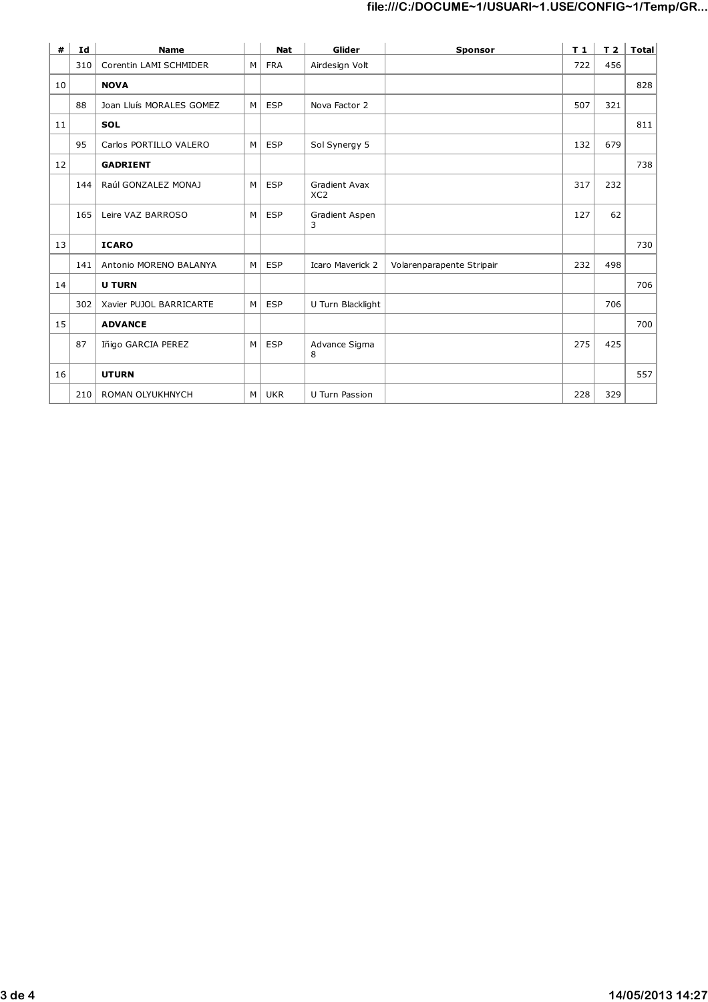| #  | Id  | <b>Name</b>              |   | <b>Nat</b> | Glider                                  | Sponsor                   | T1  | T <sub>2</sub> | Total |
|----|-----|--------------------------|---|------------|-----------------------------------------|---------------------------|-----|----------------|-------|
|    | 310 | Corentin LAMI SCHMIDER   | M | <b>FRA</b> | Airdesign Volt                          |                           | 722 | 456            |       |
| 10 |     | <b>NOVA</b>              |   |            |                                         |                           |     |                | 828   |
|    | 88  | Joan Lluís MORALES GOMEZ | M | <b>ESP</b> | Nova Factor 2                           |                           | 507 | 321            |       |
| 11 |     | <b>SOL</b>               |   |            |                                         |                           |     |                | 811   |
|    | 95  | Carlos PORTILLO VALERO   | M | <b>ESP</b> | Sol Synergy 5                           |                           | 132 | 679            |       |
| 12 |     | <b>GADRIENT</b>          |   |            |                                         |                           |     |                | 738   |
|    | 144 | Raúl GONZALEZ MONAJ      | M | <b>ESP</b> | <b>Gradient Avax</b><br>XC <sub>2</sub> |                           | 317 | 232            |       |
|    | 165 | Leire VAZ BARROSO        | M | <b>ESP</b> | Gradient Aspen<br>3                     |                           | 127 | 62             |       |
| 13 |     | <b>ICARO</b>             |   |            |                                         |                           |     |                | 730   |
|    | 141 | Antonio MORENO BALANYA   | M | <b>ESP</b> | <b>Icaro Maverick 2</b>                 | Volarenparapente Stripair | 232 | 498            |       |
| 14 |     | <b>U TURN</b>            |   |            |                                         |                           |     |                | 706   |
|    | 302 | Xavier PUJOL BARRICARTE  | M | <b>ESP</b> | U Turn Blacklight                       |                           |     | 706            |       |
| 15 |     | <b>ADVANCE</b>           |   |            |                                         |                           |     |                | 700   |
|    | 87  | Iñigo GARCIA PEREZ       | M | <b>ESP</b> | Advance Sigma<br>8                      |                           | 275 | 425            |       |
| 16 |     | <b>UTURN</b>             |   |            |                                         |                           |     |                | 557   |
|    | 210 | ROMAN OLYUKHNYCH         | M | UKR        | U Turn Passion                          |                           | 228 | 329            |       |